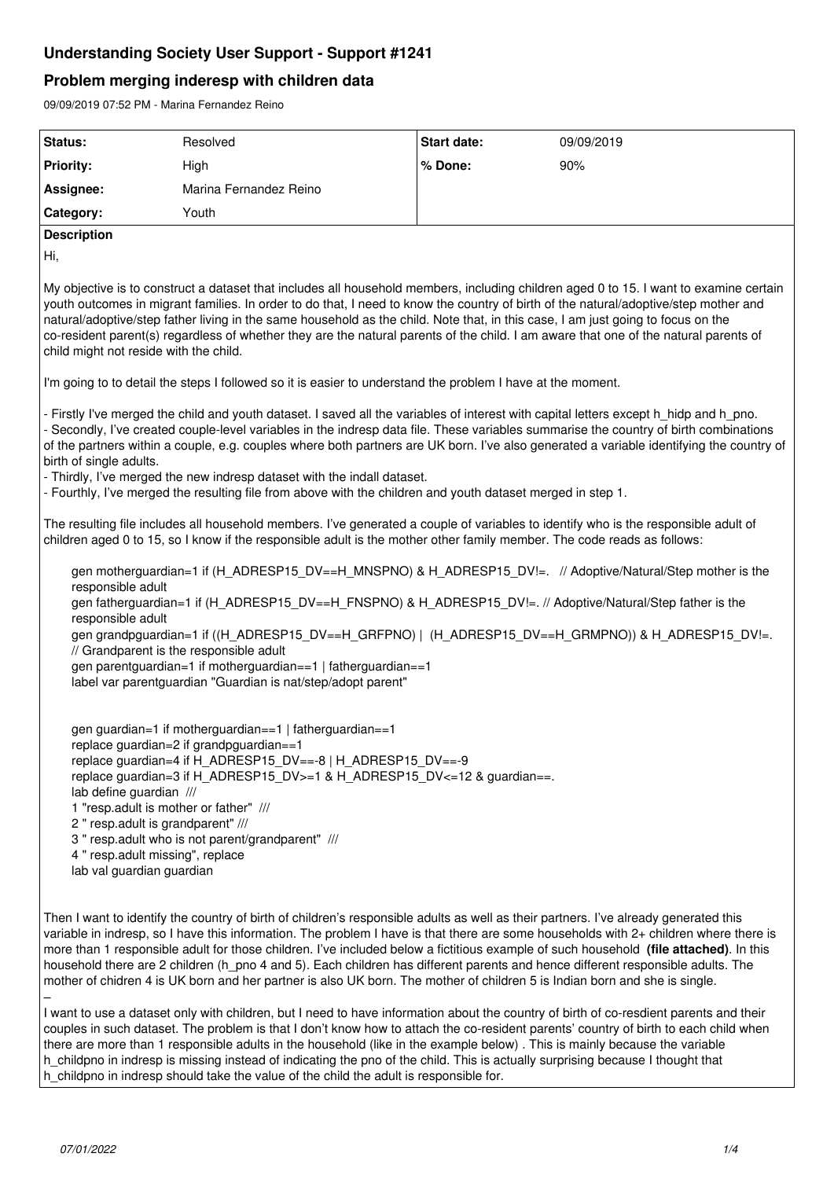# **Understanding Society User Support - Support #1241**

# **Problem merging inderesp with children data**

09/09/2019 07:52 PM - Marina Fernandez Reino

| Status:                                                                                                                                                                                                                                                                                                                                                                                                                                                                                                                                                                                                                                                                                 | Resolved               | <b>Start date:</b> | 09/09/2019 |
|-----------------------------------------------------------------------------------------------------------------------------------------------------------------------------------------------------------------------------------------------------------------------------------------------------------------------------------------------------------------------------------------------------------------------------------------------------------------------------------------------------------------------------------------------------------------------------------------------------------------------------------------------------------------------------------------|------------------------|--------------------|------------|
| <b>Priority:</b>                                                                                                                                                                                                                                                                                                                                                                                                                                                                                                                                                                                                                                                                        | High                   | % Done:            | 90%        |
| Assignee:                                                                                                                                                                                                                                                                                                                                                                                                                                                                                                                                                                                                                                                                               | Marina Fernandez Reino |                    |            |
| Category:                                                                                                                                                                                                                                                                                                                                                                                                                                                                                                                                                                                                                                                                               | Youth                  |                    |            |
| <b>Description</b>                                                                                                                                                                                                                                                                                                                                                                                                                                                                                                                                                                                                                                                                      |                        |                    |            |
| Hi,                                                                                                                                                                                                                                                                                                                                                                                                                                                                                                                                                                                                                                                                                     |                        |                    |            |
| My objective is to construct a dataset that includes all household members, including children aged 0 to 15. I want to examine certain<br>youth outcomes in migrant families. In order to do that, I need to know the country of birth of the natural/adoptive/step mother and<br>natural/adoptive/step father living in the same household as the child. Note that, in this case, I am just going to focus on the<br>co-resident parent(s) regardless of whether they are the natural parents of the child. I am aware that one of the natural parents of<br>child might not reside with the child.                                                                                    |                        |                    |            |
| I'm going to to detail the steps I followed so it is easier to understand the problem I have at the moment.                                                                                                                                                                                                                                                                                                                                                                                                                                                                                                                                                                             |                        |                    |            |
| - Firstly I've merged the child and youth dataset. I saved all the variables of interest with capital letters except h_hidp and h_pno.<br>- Secondly, I've created couple-level variables in the indresp data file. These variables summarise the country of birth combinations<br>of the partners within a couple, e.g. couples where both partners are UK born. I've also generated a variable identifying the country of<br>birth of single adults.<br>- Thirdly, I've merged the new indresp dataset with the indall dataset.<br>- Fourthly, I've merged the resulting file from above with the children and youth dataset merged in step 1.                                        |                        |                    |            |
| The resulting file includes all household members. I've generated a couple of variables to identify who is the responsible adult of<br>children aged 0 to 15, so I know if the responsible adult is the mother other family member. The code reads as follows:                                                                                                                                                                                                                                                                                                                                                                                                                          |                        |                    |            |
| gen motherguardian=1 if (H_ADRESP15_DV==H_MNSPNO) & H_ADRESP15_DV!=. // Adoptive/Natural/Step mother is the<br>responsible adult<br>gen fatherguardian=1 if (H_ADRESP15_DV==H_FNSPNO) & H_ADRESP15_DV!=. // Adoptive/Natural/Step father is the<br>responsible adult<br>gen grandpguardian=1 if ((H_ADRESP15_DV==H_GRFPNO)   (H_ADRESP15_DV==H_GRMPNO)) & H_ADRESP15_DV!=.<br>// Grandparent is the responsible adult<br>gen parentguardian=1 if motherguardian==1   fatherguardian==1<br>label var parentguardian "Guardian is nat/step/adopt parent"                                                                                                                                  |                        |                    |            |
| gen guardian=1 if motherguardian==1   fatherguardian==1<br>replace guardian=2 if grandpguardian==1<br>replace guardian=4 if H_ADRESP15_DV==-8   H_ADRESP15_DV==-9<br>replace guardian=3 if H_ADRESP15_DV>=1 & H_ADRESP15_DV<=12 & guardian==.<br>lab define guardian ///<br>1 "resp.adult is mother or father" ///<br>2 " resp.adult is grandparent" ///<br>3 " resp.adult who is not parent/grandparent" ///<br>4 " resp.adult missing", replace<br>lab val guardian guardian                                                                                                                                                                                                          |                        |                    |            |
| Then I want to identify the country of birth of children's responsible adults as well as their partners. I've already generated this<br>variable in indresp, so I have this information. The problem I have is that there are some households with 2+ children where there is<br>more than 1 responsible adult for those children. I've included below a fictitious example of such household (file attached). In this<br>household there are 2 children (h_pno 4 and 5). Each children has different parents and hence different responsible adults. The<br>mother of chidren 4 is UK born and her partner is also UK born. The mother of children 5 is Indian born and she is single. |                        |                    |            |

I want to use a dataset only with children, but I need to have information about the country of birth of co-resdient parents and their couples in such dataset. The problem is that I don't know how to attach the co-resident parents' country of birth to each child when there are more than 1 responsible adults in the household (like in the example below) . This is mainly because the variable h childpno in indresp is missing instead of indicating the pno of the child. This is actually surprising because I thought that h\_childpno in indresp should take the value of the child the adult is responsible for.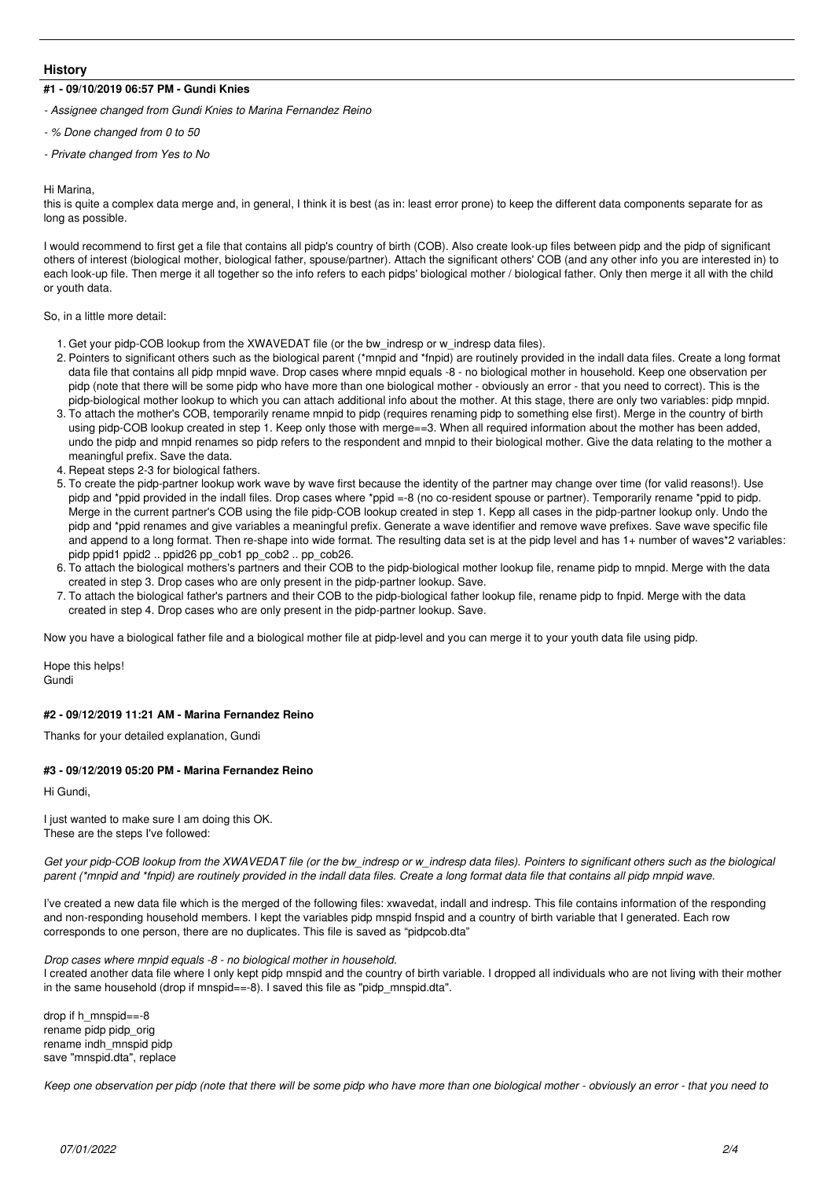## **History**

## **#1 - 09/10/2019 06:57 PM - Gundi Knies**

*- Assignee changed from Gundi Knies to Marina Fernandez Reino*

- *% Done changed from 0 to 50*
- *Private changed from Yes to No*

#### Hi Marina,

this is quite a complex data merge and, in general, I think it is best (as in: least error prone) to keep the different data components separate for as long as possible.

I would recommend to first get a file that contains all pidp's country of birth (COB). Also create look-up files between pidp and the pidp of significant others of interest (biological mother, biological father, spouse/partner). Attach the significant others' COB (and any other info you are interested in) to each look-up file. Then merge it all together so the info refers to each pidps' biological mother / biological father. Only then merge it all with the child or youth data.

So, in a little more detail:

- 1. Get your pidp-COB lookup from the XWAVEDAT file (or the bw\_indresp or w\_indresp data files).
- 2. Pointers to significant others such as the biological parent (\*mnpid and \*fnpid) are routinely provided in the indall data files. Create a long format data file that contains all pidp mnpid wave. Drop cases where mnpid equals -8 - no biological mother in household. Keep one observation per pidp (note that there will be some pidp who have more than one biological mother - obviously an error - that you need to correct). This is the pidp-biological mother lookup to which you can attach additional info about the mother. At this stage, there are only two variables: pidp mnpid.
- 3. To attach the mother's COB, temporarily rename mnpid to pidp (requires renaming pidp to something else first). Merge in the country of birth using pidp-COB lookup created in step 1. Keep only those with merge==3. When all required information about the mother has been added, undo the pidp and mnpid renames so pidp refers to the respondent and mnpid to their biological mother. Give the data relating to the mother a meaningful prefix. Save the data.
- 4. Repeat steps 2-3 for biological fathers.
- 5. To create the pidp-partner lookup work wave by wave first because the identity of the partner may change over time (for valid reasons!). Use pidp and \*ppid provided in the indall files. Drop cases where \*ppid =-8 (no co-resident spouse or partner). Temporarily rename \*ppid to pidp. Merge in the current partner's COB using the file pidp-COB lookup created in step 1. Kepp all cases in the pidp-partner lookup only. Undo the pidp and \*ppid renames and give variables a meaningful prefix. Generate a wave identifier and remove wave prefixes. Save wave specific file and append to a long format. Then re-shape into wide format. The resulting data set is at the pidp level and has 1+ number of waves\*2 variables: pidp ppid1 ppid2 .. ppid26 pp\_cob1 pp\_cob2 .. pp\_cob26.
- 6. To attach the biological mothers's partners and their COB to the pidp-biological mother lookup file, rename pidp to mnpid. Merge with the data created in step 3. Drop cases who are only present in the pidp-partner lookup. Save.
- 7. To attach the biological father's partners and their COB to the pidp-biological father lookup file, rename pidp to fnpid. Merge with the data created in step 4. Drop cases who are only present in the pidp-partner lookup. Save.

Now you have a biological father file and a biological mother file at pidp-level and you can merge it to your youth data file using pidp.

Hope this helps! **Gundi** 

### **#2 - 09/12/2019 11:21 AM - Marina Fernandez Reino**

Thanks for your detailed explanation, Gundi

## **#3 - 09/12/2019 05:20 PM - Marina Fernandez Reino**

Hi Gundi,

I just wanted to make sure I am doing this OK. These are the steps I've followed:

*Get your pidp-COB lookup from the XWAVEDAT file (or the bw\_indresp or w\_indresp data files). Pointers to significant others such as the biological parent (\*mnpid and \*fnpid) are routinely provided in the indall data files. Create a long format data file that contains all pidp mnpid wave.*

I've created a new data file which is the merged of the following files: xwavedat, indall and indresp. This file contains information of the responding and non-responding household members. I kept the variables pidp mnspid fnspid and a country of birth variable that I generated. Each row corresponds to one person, there are no duplicates. This file is saved as "pidpcob.dta"

*Drop cases where mnpid equals -8 - no biological mother in household.* I created another data file where I only kept pidp mnspid and the country of birth variable. I dropped all individuals who are not living with their mother in the same household (drop if mnspid==-8). I saved this file as "pidp\_mnspid.dta".

drop if h\_mnspid==-8 rename pidp pidp\_orig rename indh\_mnspid pidp save "mnspid.dta", replace

*Keep one observation per pidp (note that there will be some pidp who have more than one biological mother - obviously an error - that you need to*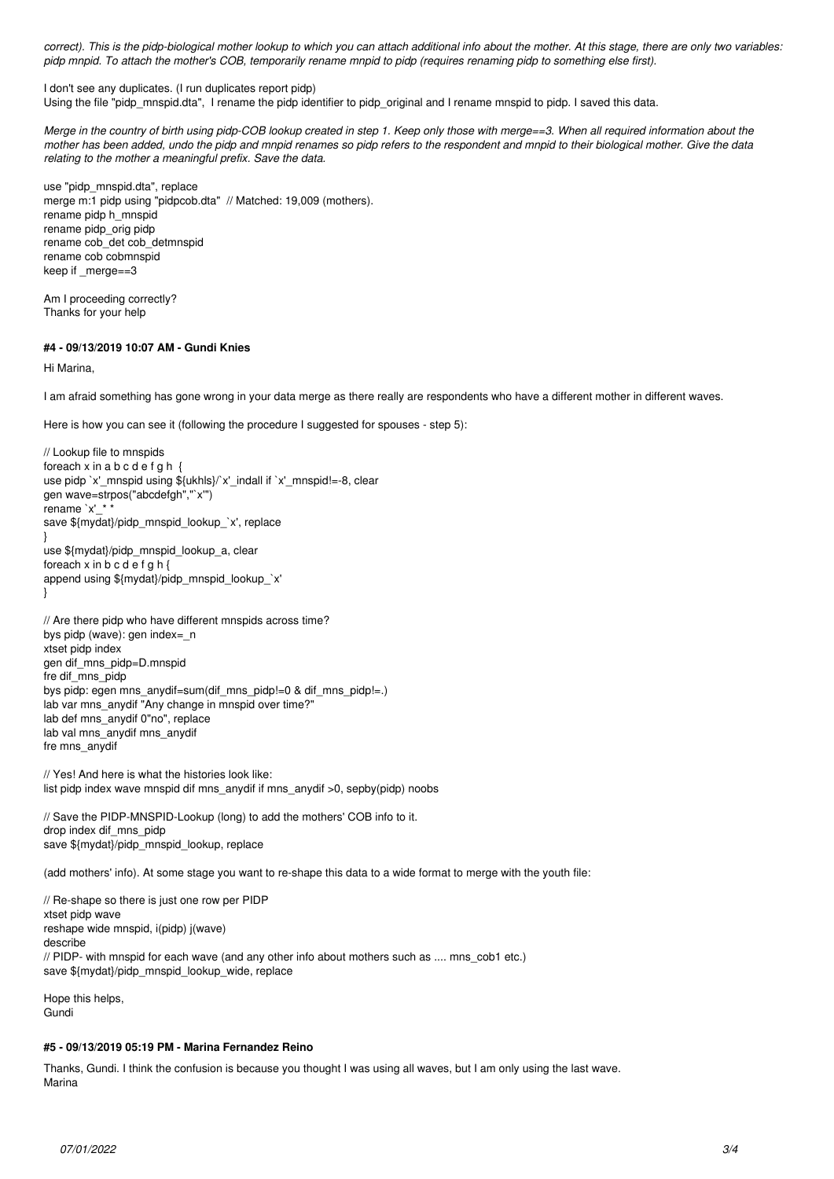*correct). This is the pidp-biological mother lookup to which you can attach additional info about the mother. At this stage, there are only two variables: pidp mnpid. To attach the mother's COB, temporarily rename mnpid to pidp (requires renaming pidp to something else first).*

I don't see any duplicates. (I run duplicates report pidp)

Using the file "pidp\_mnspid.dta", I rename the pidp identifier to pidp\_original and I rename mnspid to pidp. I saved this data.

*Merge in the country of birth using pidp-COB lookup created in step 1. Keep only those with merge==3. When all required information about the mother has been added, undo the pidp and mnpid renames so pidp refers to the respondent and mnpid to their biological mother. Give the data relating to the mother a meaningful prefix. Save the data.*

use "pidp\_mnspid.dta", replace merge m:1 pidp using "pidpcob.dta" // Matched: 19,009 (mothers). rename pidp h\_mnspid rename pidp\_orig pidp rename cob\_det cob\_detmnspid rename cob cobmnspid keep if \_merge==3

Am I proceeding correctly? Thanks for your help

## **#4 - 09/13/2019 10:07 AM - Gundi Knies**

Hi Marina,

I am afraid something has gone wrong in your data merge as there really are respondents who have a different mother in different waves.

Here is how you can see it (following the procedure I suggested for spouses - step 5):

```
// Lookup file to mnspids
foreach x in a b c d e f g h \{use pidp `x'_mnspid using ${ukhls}/`x'_indall if `x'_mnspid!=-8, clear
gen wave=strpos("abcdefgh","`x'")
rename `x' * *
save ${mydat}/pidp_mnspid_lookup_`x', replace
}
use ${mydat}/pidp_mnspid_lookup_a, clear
foreach x in b c d e f g h {
append using ${mydat}/pidp_mnspid_lookup_`x'
}
// Are there pidp who have different mnspids across time?
bys pidp (wave): gen index=_n
```

```
xtset pidp index
gen dif_mns_pidp=D.mnspid
fre dif_mns_pidp
bys pidp: egen mns_anydif=sum(dif_mns_pidp!=0 & dif_mns_pidp!=.)
lab var mns_anydif "Any change in mnspid over time?"
lab def mns_anydif 0"no", replace
lab val mns_anydif mns_anydif
fre mns_anydif
```
// Yes! And here is what the histories look like: list pidp index wave mnspid dif mns\_anydif if mns\_anydif >0, sepby(pidp) noobs

// Save the PIDP-MNSPID-Lookup (long) to add the mothers' COB info to it. drop index dif\_mns\_pidp save \${mydat}/pidp\_mnspid\_lookup, replace

(add mothers' info). At some stage you want to re-shape this data to a wide format to merge with the youth file:

// Re-shape so there is just one row per PIDP xtset pidp wave reshape wide mnspid, i(pidp) j(wave) describe // PIDP- with mnspid for each wave (and any other info about mothers such as .... mns\_cob1 etc.) save \${mydat}/pidp\_mnspid\_lookup\_wide, replace

Hope this helps, Gundi

### **#5 - 09/13/2019 05:19 PM - Marina Fernandez Reino**

Thanks, Gundi. I think the confusion is because you thought I was using all waves, but I am only using the last wave. Marina